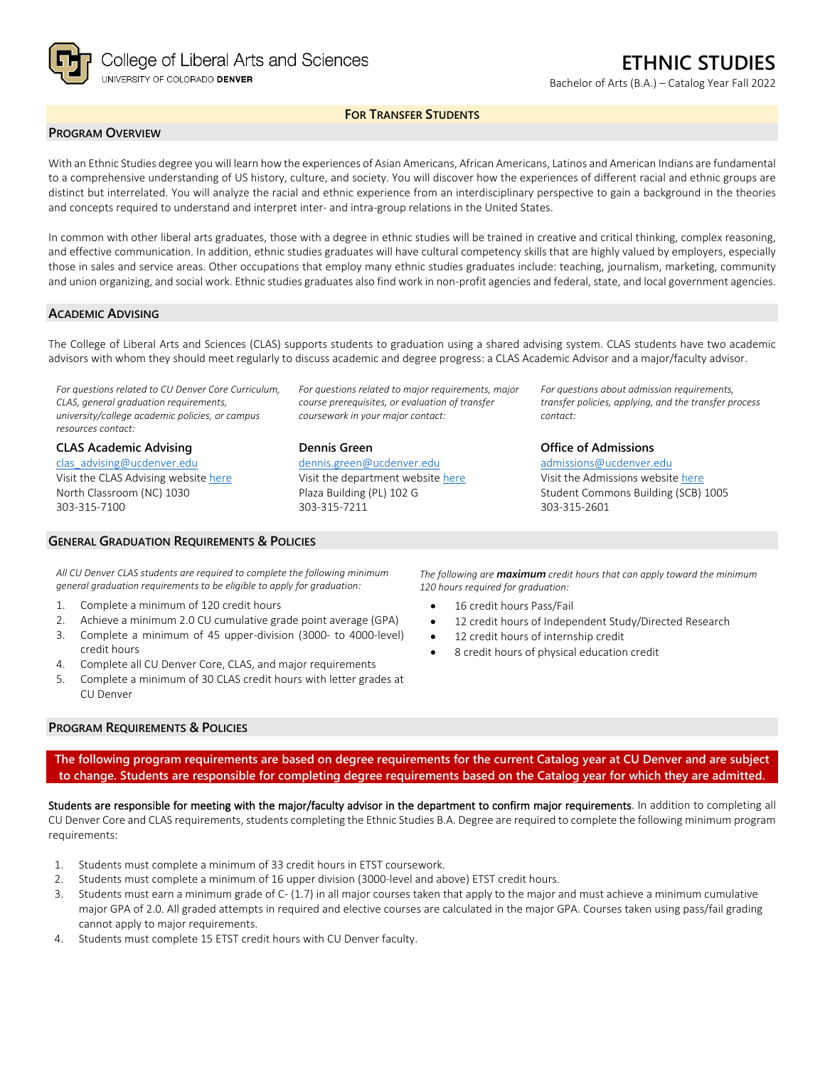

Bachelor of Arts (B.A.) – Catalog Year Fall 2022

## **FOR TRANSFER STUDENTS**

### **PROGRAM OVERVIEW**

With an Ethnic Studies degree you will learn how the experiences of Asian Americans, African Americans, Latinos and American Indians are fundamental to a comprehensive understanding of US history, culture, and society. You will discover how the experiences of different racial and ethnic groups are distinct but interrelated. You will analyze the racial and ethnic experience from an interdisciplinary perspective to gain a background in the theories and concepts required to understand and interpret inter- and intra-group relations in the United States.

In common with other liberal arts graduates, those with a degree in ethnic studies will be trained in creative and critical thinking, complex reasoning, and effective communication. In addition, ethnic studies graduates will have cultural competency skills that are highly valued by employers, especially those in sales and service areas. Other occupations that employ many ethnic studies graduates include: teaching, journalism, marketing, community and union organizing, and social work. Ethnic studies graduates also find work in non-profit agencies and federal, state, and local government agencies.

### **ACADEMIC ADVISING**

The College of Liberal Arts and Sciences (CLAS) supports students to graduation using a shared advising system. CLAS students have two academic advisors with whom they should meet regularly to discuss academic and degree progress: a CLAS Academic Advisor and a major/faculty advisor.

*For questions related to CU Denver Core Curriculum, CLAS, general graduation requirements, university/college academic policies, or campus resources contact:*

**CLAS Academic Advising** [clas\\_advising@ucdenver.edu](mailto:clas_advising@ucdenver.edu) Visit the CLAS Advising websit[e here](https://clas.ucdenver.edu/advising/) North Classroom (NC) 1030 303-315-7100

### **GENERAL GRADUATION REQUIREMENTS & POLICIES**

*For questions related to major requirements, major course prerequisites, or evaluation of transfer coursework in your major contact:*

**Dennis Green** [dennis.green@ucdenver.edu](mailto:dennis.green@ucdenver.edu)

Visit the department website [here](https://clas.ucdenver.edu/ethnic-studies/) Plaza Building (PL) 102 G 303-315-7211

*For questions about admission requirements, transfer policies, applying, and the transfer process contact:*

**Office of Admissions** [admissions@ucdenver.edu](mailto:admissions@ucdenver.edu)

Visit the Admissions website [here](http://www.ucdenver.edu/admissions/Pages/index.aspx) Student Commons Building (SCB) 1005 303-315-2601

*All CU Denver CLAS students are required to complete the following minimum general graduation requirements to be eligible to apply for graduation:*

- 1. Complete a minimum of 120 credit hours
- 2. Achieve a minimum 2.0 CU cumulative grade point average (GPA)
- 3. Complete a minimum of 45 upper-division (3000- to 4000-level) credit hours
- 4. Complete all CU Denver Core, CLAS, and major requirements
- 5. Complete a minimum of 30 CLAS credit hours with letter grades at CU Denver

#### **PROGRAM REQUIREMENTS & POLICIES**

*The following are maximum credit hours that can apply toward the minimum 120 hours required for graduation:*

- 16 credit hours Pass/Fail
- 12 credit hours of Independent Study/Directed Research
- 12 credit hours of internship credit
- 8 credit hours of physical education credit

**The following program requirements are based on degree requirements for the current Catalog year at CU Denver and are subject to change. Students are responsible for completing degree requirements based on the Catalog year for which they are admitted.**

Students are responsible for meeting with the major/faculty advisor in the department to confirm major requirements. In addition to completing all CU Denver Core and CLAS requirements, students completing the Ethnic Studies B.A. Degree are required to complete the following minimum program requirements:

- 1. Students must complete a minimum of 33 credit hours in ETST coursework.
- 2. Students must complete a minimum of 16 upper division (3000-level and above) ETST credit hours.
- 3. Students must earn a minimum grade of C- (1.7) in all major courses taken that apply to the major and must achieve a minimum cumulative major GPA of 2.0. All graded attempts in required and elective courses are calculated in the major GPA. Courses taken using pass/fail grading cannot apply to major requirements.
- 4. Students must complete 15 ETST credit hours with CU Denver faculty.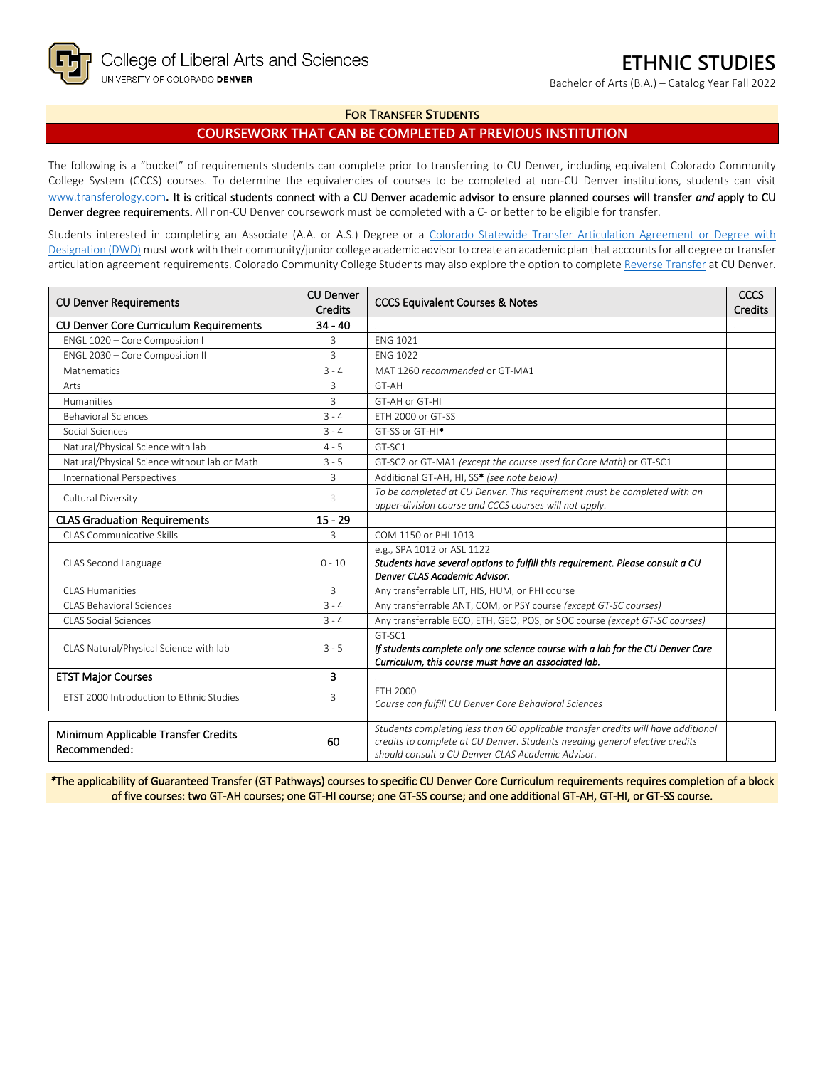Bachelor of Arts (B.A.) – Catalog Year Fall 2022

## **FOR TRANSFER STUDENTS**

# **COURSEWORK THAT CAN BE COMPLETED AT PREVIOUS INSTITUTION**

The following is a "bucket" of requirements students can complete prior to transferring to CU Denver, including equivalent Colorado Community College System (CCCS) courses. To determine the equivalencies of courses to be completed at non-CU Denver institutions, students can visit [www.transferology.com](http://www.transferology.com/)**.** It is critical students connect with a CU Denver academic advisor to ensure planned courses will transfer *and* apply to CU Denver degree requirements. All non-CU Denver coursework must be completed with a C- or better to be eligible for transfer.

Students interested in completing an Associate (A.A. or A.S.) Degree or a Colorado Statewide Transfer Articulation Agreement or Degree with [Designation \(DWD\)](https://highered.colorado.gov/transfer-degrees) must work with their community/junior college academic advisor to create an academic plan that accounts for all degree or transfer articulation agreement requirements. Colorado Community College Students may also explore the option to complet[e Reverse Transfer](https://highered.colorado.gov/students/attending-college/colorado-reverse-transfer) at CU Denver.

| If students complete only one science course with a lab for the CU Denver Core<br>Students completing less than 60 applicable transfer credits will have additional |
|---------------------------------------------------------------------------------------------------------------------------------------------------------------------|

*\**The applicability of Guaranteed Transfer (GT Pathways) courses to specific CU Denver Core Curriculum requirements requires completion of a block of five courses: two GT-AH courses; one GT-HI course; one GT-SS course; and one additional GT-AH, GT-HI, or GT-SS course.